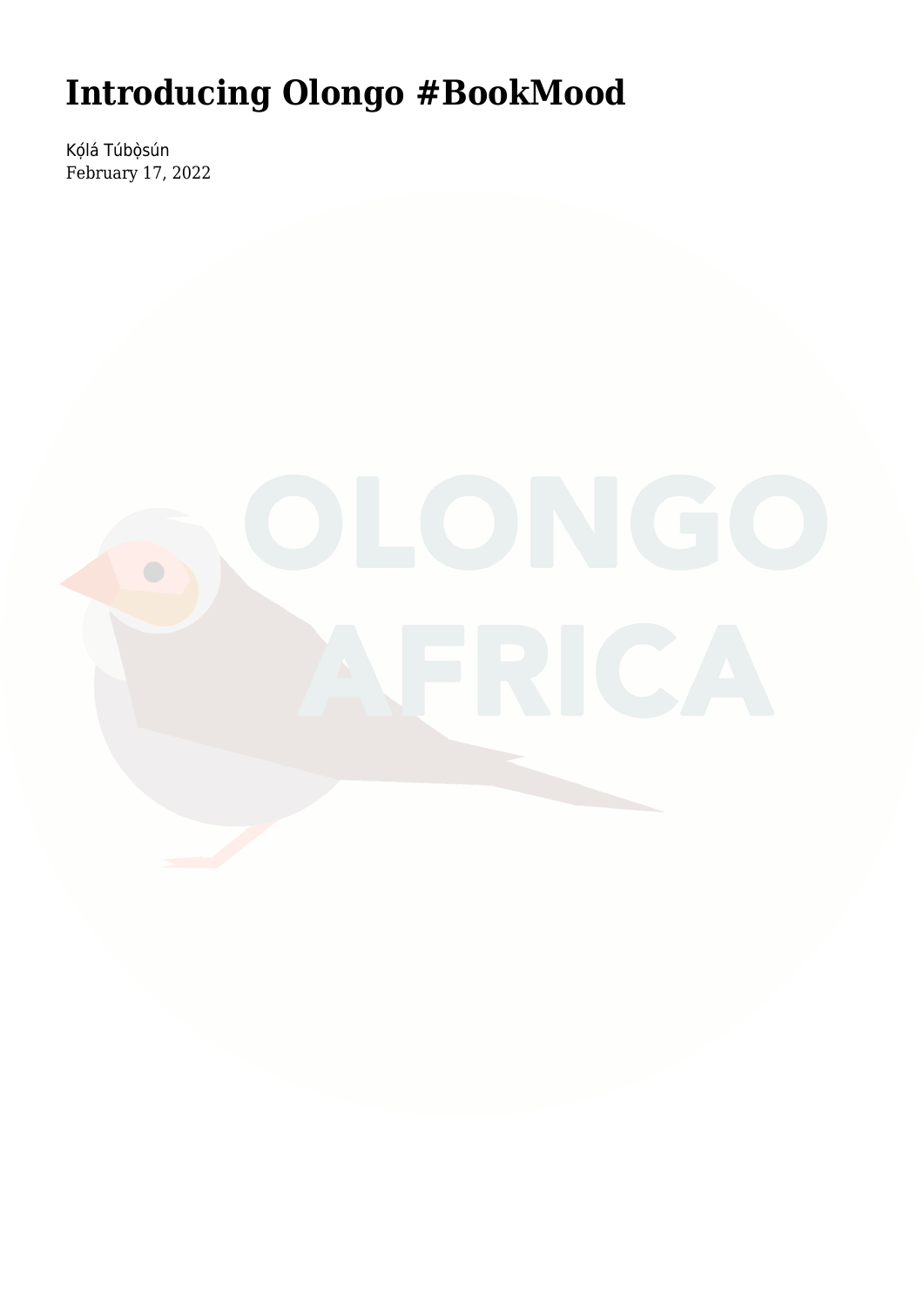## **[Introducing Olongo #BookMood](https://olongoafrica.com/introducing-olongo-bookmood/)**

Kọ́lá Túbọ̀sún February 17, 2022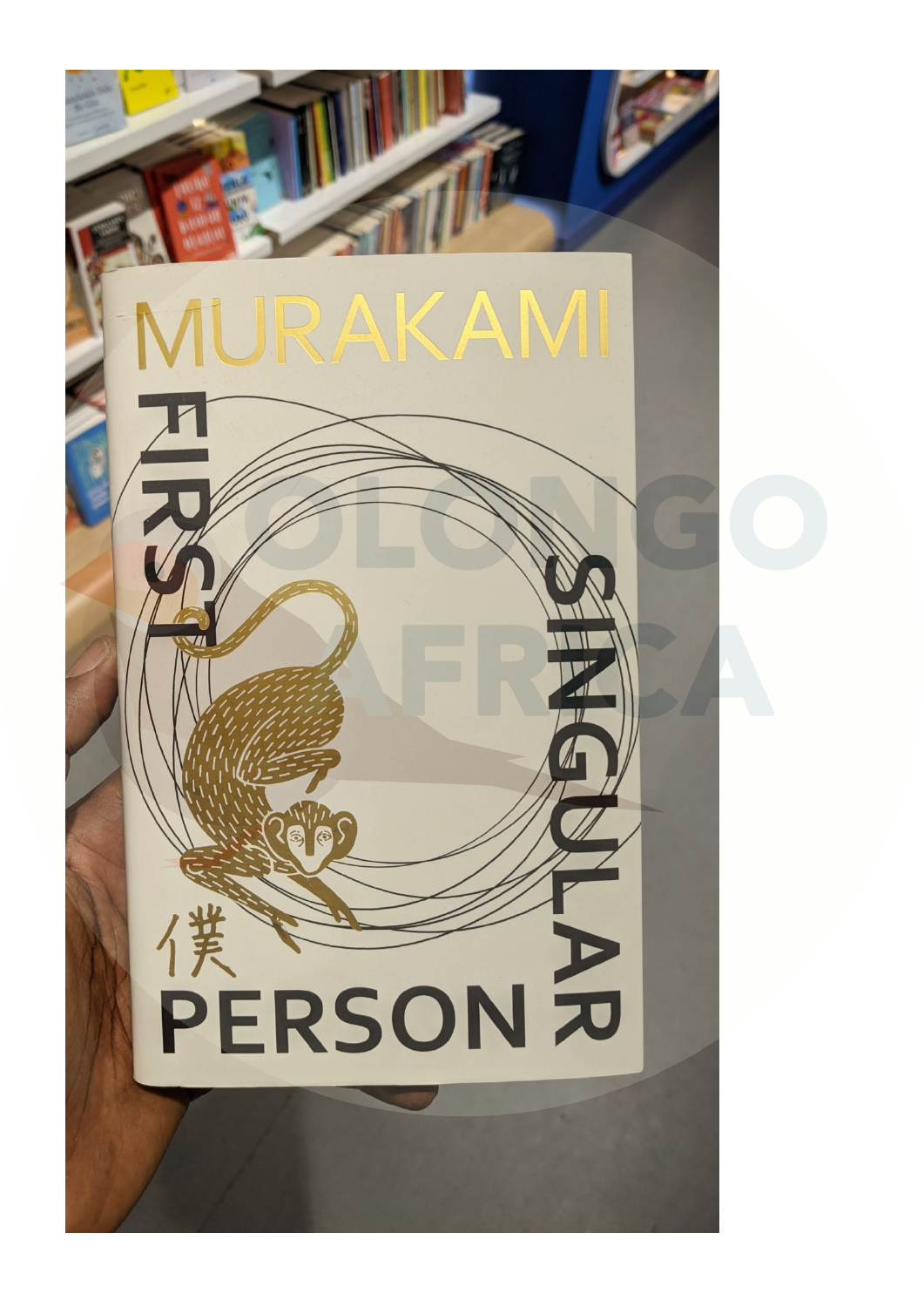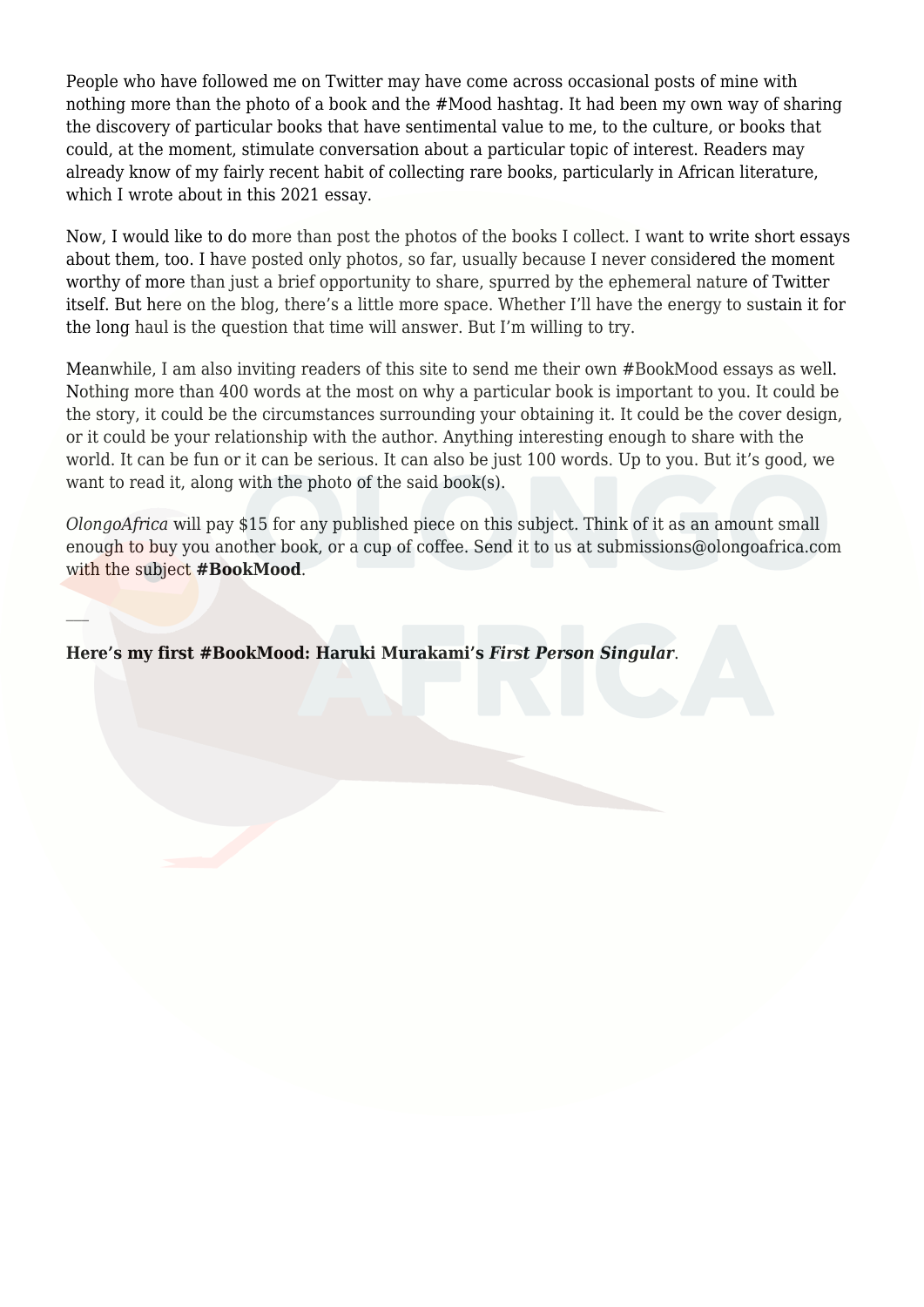People who have followed me [on Twitter](http://www.twitter.com/kolatubosun) may have come across occasional posts of mine with nothing more than the photo of a book and the #Mood hashtag. It had been my own way of sharing the discovery of particular books that have sentimental value [to me,](https://twitter.com/kolatubosun/status/1490037799759892481?s=20&t=xzO-nwEO6s8binOmAartaw) to the culture, or books that could, at the moment, stimulate conversation about [a particular topic of interest](https://twitter.com/kolatubosun/status/1492958803888910342?s=20&t=xzO-nwEO6s8binOmAartaw). Readers may already know of my fairly recent habit of collecting rare books, particularly in African literature, which I wrote about in [this 2021 essay.](https://olongoafrica.com/a-book-collectors-journal/)

Now, I would like to do more than post the photos of the books I collect. I want to write short essays about them, too. I have posted only photos, so far, usually because I never considered the moment worthy of more than just a brief opportunity to share, spurred by the ephemeral nature of Twitter itself. But here on the blog, there's a little more space. Whether I'll have the energy to sustain it for the long haul is the question that time will answer. But I'm willing to try.

Meanwhile, I am also inviting readers of this site to send me their own #BookMood essays as well. Nothing more than 400 words at the most on why a particular book is important to you. It could be the story, it could be the circumstances surrounding your obtaining it. It could be the cover design, or it could be your relationship with the author. Anything interesting enough to share with the world. It can be fun or it can be serious. It can also be just 100 words. Up to you. But it's good, we want to read it, along with the photo of the said book(s).

*OlongoAfrica* will pay \$15 for any published piece on this subject. Think of it as an amount small enough to buy you another book, or a cup of coffee. Send it to us at [submissions@olongoafrica.com](mailto:submissions@olongoafrica.com) with the subject **#BookMood**.

**Here's my first #BookMood: Haruki Murakami's** *First Person Singular*.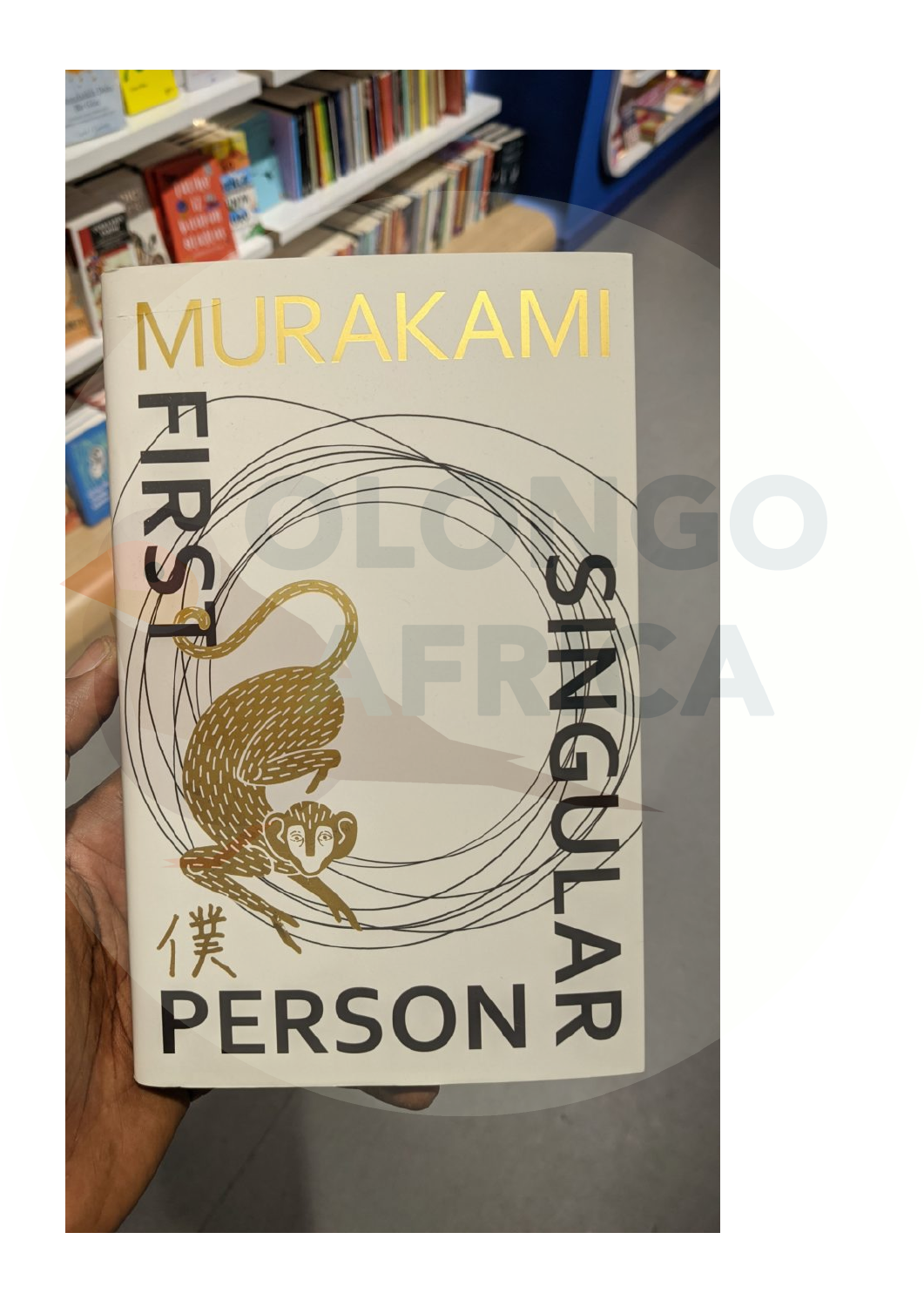